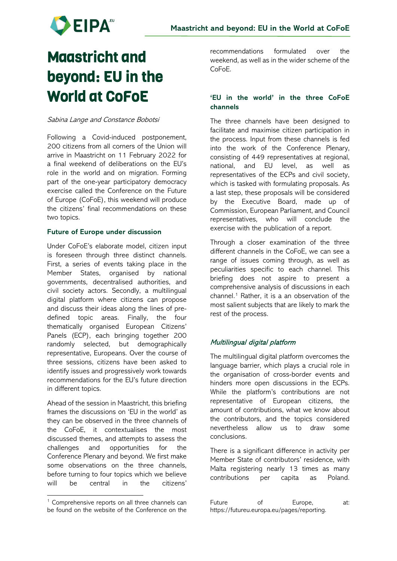

# Maastricht and beyond: EU in the World at CoFoE

#### Sabina Lange and Constance Bobotsi

Following a Covid-induced postponement, 200 citizens from all corners of the Union will arrive in Maastricht on 11 February 2022 for a final weekend of deliberations on the EU's role in the world and on migration. Forming part of the one-year participatory democracy exercise called the Conference on the Future of Europe (CoFoE), this weekend will produce the citizens' final recommendations on these two topics.

#### **Future of Europe under discussion**

Under CoFoE's elaborate model, citizen input is foreseen through three distinct channels. First, a series of events taking place in the Member States, organised by national governments, decentralised authorities, and civil society actors. Secondly, a multilingual digital platform where citizens can propose and discuss their ideas along the lines of predefined topic areas. Finally, the four thematically organised European Citizens' Panels (ECP), each bringing together 200 randomly selected, but demographically representative, Europeans. Over the course of three sessions, citizens have been asked to identify issues and progressively work towards recommendations for the EU's future direction in different topics.

Ahead of the session in Maastricht, this briefing frames the discussions on 'EU in the world' as they can be observed in the three channels of the CoFoE, it contextualises the most discussed themes, and attempts to assess the challenges and opportunities for the Conference Plenary and beyond. We first make some observations on the three channels, before turning to four topics which we believe will be central in the citizens'

recommendations formulated over the weekend, as well as in the wider scheme of the CoFoE.

## **'EU in the world' in the three CoFoE channels**

The three channels have been designed to facilitate and maximise citizen participation in the process. Input from these channels is fed into the work of the Conference Plenary, consisting of 449 representatives at regional, national, and EU level, as well as representatives of the ECPs and civil society, which is tasked with formulating proposals. As a last step, these proposals will be considered by the Executive Board, made up of Commission, European Parliament, and Council representatives, who will conclude the exercise with the publication of a report.

Through a closer examination of the three different channels in the CoFoE, we can see a range of issues coming through, as well as peculiarities specific to each channel. This briefing does not aspire to present a comprehensive analysis of discussions in each channel.<sup>[1](#page-0-0)</sup> Rather, it is a an observation of the most salient subjects that are likely to mark the rest of the process.

# Multilingual digital platform

The multilingual digital platform overcomes the language barrier, which plays a crucial role in the organisation of cross-border events and hinders more open discussions in the ECPs. While the platform's contributions are not representative of European citizens, the amount of contributions, what we know about the contributors, and the topics considered nevertheless allow us to draw some conclusions.

There is a significant difference in activity per Member State of contributors' residence, with Malta registering nearly 13 times as many contributions per capita as Poland.

<span id="page-0-0"></span><sup>&</sup>lt;sup>1</sup> Comprehensive reports on all three channels can be found on the website of the Conference on the

Future of Europe, at: https://futureu.europa.eu/pages/reporting.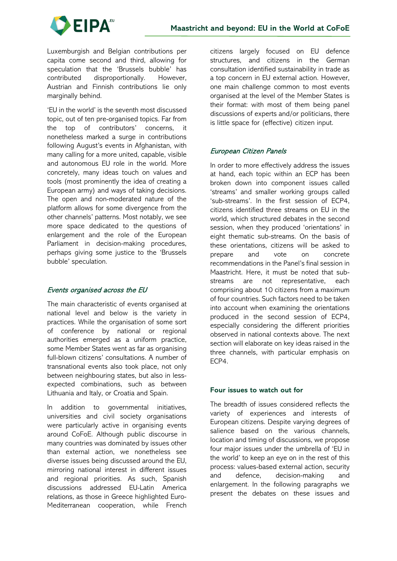

Luxemburgish and Belgian contributions per capita come second and third, allowing for speculation that the 'Brussels bubble' has contributed disproportionally. However, Austrian and Finnish contributions lie only marginally behind.

'EU in the world' is the seventh most discussed topic, out of ten pre-organised topics. Far from the top of contributors' concerns, it nonetheless marked a surge in contributions following August's events in Afghanistan, with many calling for a more united, capable, visible and autonomous EU role in the world. More concretely, many ideas touch on values and tools (most prominently the idea of creating a European army) and ways of taking decisions. The open and non-moderated nature of the platform allows for some divergence from the other channels' patterns. Most notably, we see more space dedicated to the questions of enlargement and the role of the European Parliament in decision-making procedures, perhaps giving some justice to the 'Brussels bubble' speculation.

## Events organised across the EU

The main characteristic of events organised at national level and below is the variety in practices. While the organisation of some sort of conference by national or regional authorities emerged as a uniform practice, some Member States went as far as organising full-blown citizens' consultations. A number of transnational events also took place, not only between neighbouring states, but also in lessexpected combinations, such as between Lithuania and Italy, or Croatia and Spain.

In addition to governmental initiatives, universities and civil society organisations were particularly active in organising events around CoFoE. Although public discourse in many countries was dominated by issues other than external action, we nonetheless see diverse issues being discussed around the EU, mirroring national interest in different issues and regional priorities. As such, Spanish discussions addressed EU-Latin America relations, as those in Greece highlighted Euro-Mediterranean cooperation, while French

citizens largely focused on EU defence structures, and citizens in the German consultation identified sustainability in trade as a top concern in EU external action. However, one main challenge common to most events organised at the level of the Member States is their format: with most of them being panel discussions of experts and/or politicians, there is little space for (effective) citizen input.

# European Citizen Panels

In order to more effectively address the issues at hand, each topic within an ECP has been broken down into component issues called 'streams' and smaller working groups called 'sub-streams'. In the first session of ECP4, citizens identified three streams on EU in the world, which structured debates in the second session, when they produced 'orientations' in eight thematic sub-streams. On the basis of these orientations, citizens will be asked to prepare and vote on concrete recommendations in the Panel's final session in Maastricht. Here, it must be noted that substreams are not representative, each comprising about 10 citizens from a maximum of four countries. Such factors need to be taken into account when examining the orientations produced in the second session of ECP4, especially considering the different priorities observed in national contexts above. The next section will elaborate on key ideas raised in the three channels, with particular emphasis on ECP4.

## **Four issues to watch out for**

The breadth of issues considered reflects the variety of experiences and interests of European citizens. Despite varying degrees of salience based on the various channels, location and timing of discussions, we propose four major issues under the umbrella of 'EU in the world' to keep an eye on in the rest of this process: values-based external action, security and defence, decision-making and enlargement. In the following paragraphs we present the debates on these issues and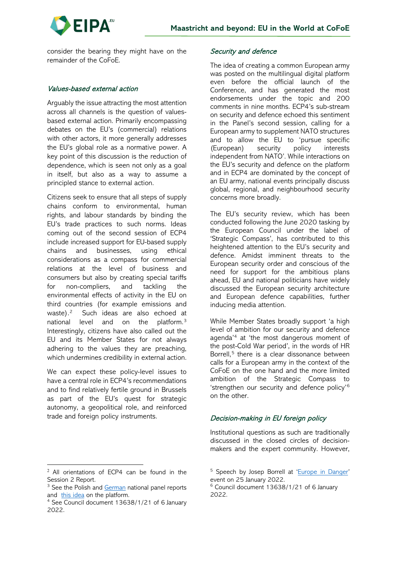



consider the bearing they might have on the remainder of the CoFoE.

## Values-based external action

Arguably the issue attracting the most attention across all channels is the question of valuesbased external action. Primarily encompassing debates on the EU's (commercial) relations with other actors, it more generally addresses the EU's global role as a normative power. A key point of this discussion is the reduction of dependence, which is seen not only as a goal in itself, but also as a way to assume a principled stance to external action.

Citizens seek to ensure that all steps of supply chains conform to environmental, human rights, and labour standards by binding the EU's trade practices to such norms. Ideas coming out of the second session of ECP4 include increased support for EU-based supply chains and businesses, using ethical considerations as a compass for commercial relations at the level of business and consumers but also by creating special tariffs for non-compliers, and tackling the environmental effects of activity in the EU on third countries (for example emissions and waste).[2](#page-2-0) Such ideas are also echoed at national level and on the platform.[3](#page-2-1) Interestingly, citizens have also called out the EU and its Member States for not always adhering to the values they are preaching, which undermines credibility in external action.

We can expect these policy-level issues to have a central role in ECP4's recommendations and to find relatively fertile ground in Brussels as part of the EU's quest for strategic autonomy, a geopolitical role, and reinforced trade and foreign policy instruments.

## Security and defence

The idea of creating a common European army was posted on the multilingual digital platform even before the official launch of the Conference, and has generated the most endorsements under the topic and 200 comments in nine months. ECP4's sub-stream on security and defence echoed this sentiment in the Panel's second session, calling for a European army to supplement NATO structures and to allow the EU to 'pursue specific (European) security policy interests independent from NATO'. While interactions on the EU's security and defence on the platform and in ECP4 are dominated by the concept of an EU army, national events principally discuss global, regional, and neighbourhood security concerns more broadly.

The EU's security review, which has been conducted following the June 2020 tasking by the European Council under the label of 'Strategic Compass', has contributed to this heightened attention to the EU's security and defence. Amidst imminent threats to the European security order and conscious of the need for support for the ambitious plans ahead, EU and national politicians have widely discussed the European security architecture and European defence capabilities, further inducing media attention.

While Member States broadly support 'a high level of ambition for our security and defence agenda' [4](#page-2-2) at 'the most dangerous moment of the post-Cold War period', in the words of HR Borrell,<sup>[5](#page-2-0)</sup> there is a clear dissonance between calls for a European army in the context of the CoFoE on the one hand and the more limited ambition of the Strategic Compass to 'strengthen our security and defence policy'[6](#page-2-1) on the other.

# Decision-making in EU foreign policy

Institutional questions as such are traditionally discussed in the closed circles of decisionmakers and the expert community. However,

<span id="page-2-0"></span><sup>2</sup> All orientations of ECP4 can be found in the Session 2 Report.

<span id="page-2-1"></span><sup>&</sup>lt;sup>3</sup> See the Polish and [German](https://futureu.europa.eu/assemblies/citizens-panels/f/301/) national panel reports and [this idea](https://futureu.europa.eu/processes/EUInTheWorld/f/16/proposals/13844) on the platform.

<span id="page-2-2"></span><sup>4</sup> See Council document 13638/1/21 of 6 January 2022.

<sup>&</sup>lt;sup>5</sup> Speech by Josep Borrell at ['Europe in Danger'](https://eeas.europa.eu/headquarters/headquarters-homepage/110084/%E2%80%9Ceurope-danger-what-next-eu-security-and-defence%E2%80%9D-speech-high-representativevice-president_en) event on 25 January 2022.

<sup>6</sup> Council document 13638/1/21 of 6 January 2022.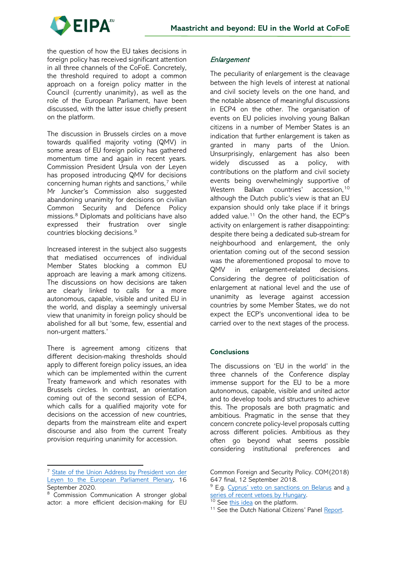

the question of how the EU takes decisions in foreign policy has received significant attention in all three channels of the CoFoE. Concretely, the threshold required to adopt a common approach on a foreign policy matter in the Council (currently unanimity), as well as the role of the European Parliament, have been discussed, with the latter issue chiefly present on the platform.

The discussion in Brussels circles on a move towards qualified majority voting (QMV) in some areas of EU foreign policy has gathered momentum time and again in recent years. Commission President Ursula von der Leyen has proposed introducing QMV for decisions concerning human rights and sanctions,<sup>[7](#page-3-0)</sup> while Mr Juncker's Commission also suggested abandoning unanimity for decisions on civilian Common Security and Defence Policy missions.[8](#page-3-1) Diplomats and politicians have also expressed their frustration over single countries blocking decisions. [9](#page-3-2)

Increased interest in the subject also suggests that mediatised occurrences of individual Member States blocking a common EU approach are leaving a mark among citizens. The discussions on how decisions are taken are clearly linked to calls for a more autonomous, capable, visible and united EU in the world, and display a seemingly universal view that unanimity in foreign policy should be abolished for all but 'some, few, essential and non-urgent matters.'

There is agreement among citizens that different decision-making thresholds should apply to different foreign policy issues, an idea which can be implemented within the current Treaty framework and which resonates with Brussels circles. In contrast, an orientation coming out of the second session of ECP4, which calls for a qualified majority vote for decisions on the accession of new countries, departs from the mainstream elite and expert discourse and also from the current Treaty provision requiring unanimity for accession.

## **Enlargement**

The peculiarity of enlargement is the cleavage between the high levels of interest at national and civil society levels on the one hand, and the notable absence of meaningful discussions in ECP4 on the other. The organisation of events on EU policies involving young Balkan citizens in a number of Member States is an indication that further enlargement is taken as granted in many parts of the Union. Unsurprisingly, enlargement has also been widely discussed as a policy, with contributions on the platform and civil society events being overwhelmingly supportive of Western Balkan countries' accession, [10](#page-3-3) although the Dutch public's view is that an EU expansion should only take place if it brings added value.<sup>[11](#page-3-4)</sup> On the other hand, the ECP's activity on enlargement is rather disappointing: despite there being a dedicated sub-stream for neighbourhood and enlargement, the only orientation coming out of the second session was the aforementioned proposal to move to QMV in enlargement-related decisions. Considering the degree of politicisation of enlargement at national level and the use of unanimity as leverage against accession countries by some Member States, we do not expect the ECP's unconventional idea to be carried over to the next stages of the process.

#### **Conclusions**

The discussions on 'EU in the world' in the three channels of the Conference display immense support for the EU to be a more autonomous, capable, visible and united actor and to develop tools and structures to achieve this. The proposals are both pragmatic and ambitious. Pragmatic in the sense that they concern concrete policy-level proposals cutting across different policies. Ambitious as they often go beyond what seems possible considering institutional preferences and

<span id="page-3-0"></span><sup>&</sup>lt;sup>7</sup> State of the Union Address by President von der [Leyen to the European Parliament Plenary,](https://ec.europa.eu/commission/presscorner/detail/en/SPEECH_20_1655) 16 September 2020.

<span id="page-3-4"></span><span id="page-3-3"></span><span id="page-3-2"></span><span id="page-3-1"></span><sup>&</sup>lt;sup>8</sup> Commission Communication A stronger global actor: a more efficient decision-making for EU

Common Foreign and Security Policy. COM(2018) 647 final, 12 September 2018.

<sup>&</sup>lt;sup>9</sup> E.g. [Cyprus' veto on sanctions on Belarus](https://www.politico.eu/article/eu-foreign-ministers-to-try-to-break-a-deadlock-on-belarus-sanctions/) and [a](https://www.euractiv.com/section/politics/news/diplomat-eu-could-seek-to-bypass-hungary-after-series-of-vetoes/) series of recent vetoes by Hungary.

 $\frac{10 \text{ See } \text{this idea}}{10 \text{ See } \text{this idea}}$  $\frac{10 \text{ See } \text{this idea}}{10 \text{ See } \text{this idea}}$  $\frac{10 \text{ See } \text{this idea}}{10 \text{ See } \text{this idea}}$  on the platform.

<sup>&</sup>lt;sup>11</sup> See the Dutch National Citizens' Panel [Report.](https://prod-cofe-platform.s3.eu-central-1.amazonaws.com/3btwp5xmy8iw9xvokio70d408opn?response-content-disposition=inline%3B%20filename%3D%22SN%204125%202021%20INIT-EN.pdf%22%3B%20filename%2A%3DUTF-8%27%27SN%25204125%25202021%2520INIT-EN.pdf&response-content-type=application%2Fpdf&X-Amz-Algorithm=AWS4-HMAC-SHA256&X-Amz-Credential=AKIA3LJJXGZPDFYVOW5V%2F20220203%2Feu-central-1%2Fs3%2Faws4_request&X-Amz-Date=20220203T151406Z&X-Amz-Expires=300&X-Amz-SignedHeaders=host&X-Amz-Signature=dd49bf2107455dd80b5b6c8564b441679bfb422a30e698456633fb10164f7ec3)